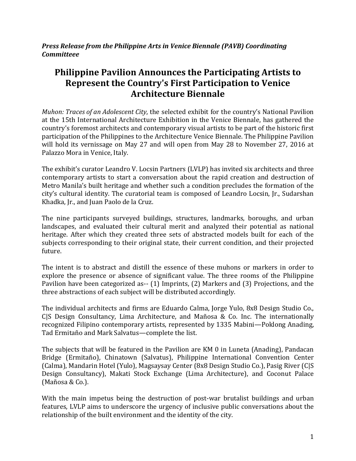*Press Release from the Philippine Arts in Venice Biennale (PAVB) Coordinating Committeee*

# **Philippine Pavilion Announces the Participating Artists to Represent the Country's First Participation to Venice Architecture Biennale**

*Muhon: Traces of an Adolescent City*, the selected exhibit for the country's National Pavilion at the 15th International Architecture Exhibition in the Venice Biennale, has gathered the country's foremost architects and contemporary visual artists to be part of the historic first participation of the Philippines to the Architecture Venice Biennale. The Philippine Pavilion will hold its vernissage on May 27 and will open from May 28 to November 27, 2016 at Palazzo Mora in Venice, Italy.

The exhibit's curator Leandro V. Locsin Partners (LVLP) has invited six architects and three contemporary artists to start a conversation about the rapid creation and destruction of Metro Manila's built heritage and whether such a condition precludes the formation of the city's cultural identity. The curatorial team is composed of Leandro Locsin, Jr., Sudarshan Khadka, Jr., and Juan Paolo de la Cruz.

The nine participants surveyed buildings, structures, landmarks, boroughs, and urban landscapes, and evaluated their cultural merit and analyzed their potential as national heritage. After which they created three sets of abstracted models built for each of the subjects corresponding to their original state, their current condition, and their projected future.

The intent is to abstract and distill the essence of these muhons or markers in order to explore the presence or absence of significant value. The three rooms of the Philippine Pavilion have been categorized as-- (1) Imprints, (2) Markers and (3) Projections, and the three abstractions of each subject will be distributed accordingly.

The individual architects and firms are Eduardo Calma, Jorge Yulo, 8x8 Design Studio Co., C|S Design Consultancy, Lima Architecture, and Mañosa & Co. Inc. The internationally recognized Filipino contemporary artists, represented by 1335 Mabini—Poklong Anading, Tad Ermitaño and Mark Salvatus—complete the list.

The subjects that will be featured in the Pavilion are KM 0 in Luneta (Anading), Pandacan Bridge (Ermitaño), Chinatown (Salvatus), Philippine International Convention Center (Calma), Mandarin Hotel (Yulo), Magsaysay Center (8x8 Design Studio Co.), Pasig River (C|S Design Consultancy), Makati Stock Exchange (Lima Architecture), and Coconut Palace (Mañosa & Co.).

With the main impetus being the destruction of post-war brutalist buildings and urban features, LVLP aims to underscore the urgency of inclusive public conversations about the relationship of the built environment and the identity of the city.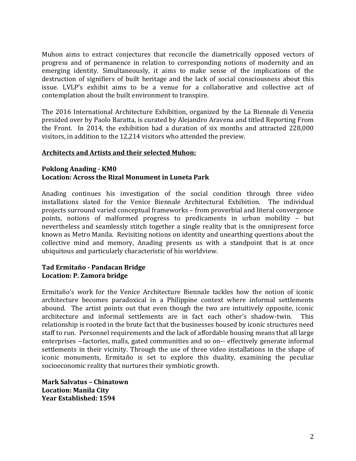Muhon aims to extract conjectures that reconcile the diametrically opposed vectors of progress and of permanence in relation to corresponding notions of modernity and an emerging identity. Simultaneously, it aims to make sense of the implications of the destruction of signifiers of built heritage and the lack of social consciousness about this issue. LVLP's exhibit aims to be a venue for a collaborative and collective act of contemplation about the built environment to transpire.

The 2016 International Architecture Exhibition, organized by the La Biennale di Venezia presided over by Paolo Baratta, is curated by Alejandro Aravena and titled Reporting From the Front. In 2014, the exhibition had a duration of six months and attracted 228,000 visitors, in addition to the 12,214 visitors who attended the preview.

#### **Architects and Artists and their selected Muhon:**

#### **Poklong Anading - KM0 Location: Across the Rizal Monument in Luneta Park**

Anading continues his investigation of the social condition through three video installations slated for the Venice Biennale Architectural Exhibition. The individual projects surround varied conceptual frameworks – from proverbial and literal convergence points, notions of malformed progress to predicaments in urban mobility – but nevertheless and seamlessly stitch together a single reality that is the omnipresent force known as Metro Manila. Revisiting notions on identity and unearthing questions about the collective mind and memory, Anading presents us with a standpoint that is at once ubiquitous and particularly characteristic of his worldview.

### **Tad Ermitaño - Pandacan Bridge Location: P. Zamora bridge**

Ermitaño's work for the Venice Architecture Biennale tackles how the notion of iconic architecture becomes paradoxical in a Philippine context where informal settlements abound. The artist points out that even though the two are intuitively opposite, iconic architecture and informal settlements are in fact each other's shadow-twin. This relationship is rooted in the brute fact that the businesses housed by iconic structures need staff to run. Personnel requirements and the lack of affordable housing means that all large enterprises --factories, malls, gated communities and so on-- effectively generate informal settlements in their vicinity. Through the use of three video installations in the shape of iconic monuments, Ermitaño is set to explore this duality, examining the peculiar socioeconomic reality that nurtures their symbiotic growth.

**Mark Salvatus – Chinatown Location: Manila City Year Established: 1594**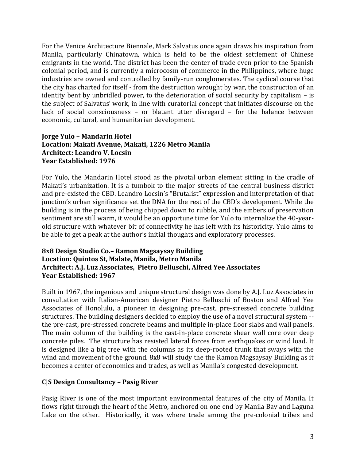For the Venice Architecture Biennale, Mark Salvatus once again draws his inspiration from Manila, particularly Chinatown, which is held to be the oldest settlement of Chinese emigrants in the world. The district has been the center of trade even prior to the Spanish colonial period, and is currently a microcosm of commerce in the Philippines, where huge industries are owned and controlled by family-run conglomerates. The cyclical course that the city has charted for itself - from the destruction wrought by war, the construction of an identity bent by unbridled power, to the deterioration of social security by capitalism – is the subject of Salvatus' work, in line with curatorial concept that initiates discourse on the lack of social consciousness – or blatant utter disregard – for the balance between economic, cultural, and humanitarian development.

## **Jorge Yulo – Mandarin Hotel Location: Makati Avenue, Makati, 1226 Metro Manila Architect: Leandro V. Locsin Year Established: 1976**

For Yulo, the Mandarin Hotel stood as the pivotal urban element sitting in the cradle of Makati's urbanization. It is a tumbok to the major streets of the central business district and pre-existed the CBD. Leandro Locsin's "Brutalist" expression and interpretation of that junction's urban significance set the DNA for the rest of the CBD's development. While the building is in the process of being chipped down to rubble, and the embers of preservation sentiment are still warm, it would be an opportune time for Yulo to internalize the 40-yearold structure with whatever bit of connectivity he has left with its historicity. Yulo aims to be able to get a peak at the author's initial thoughts and exploratory processes.

# **8x8 Design Studio Co.– Ramon Magsaysay Building Location: Quintos St, Malate, Manila, Metro Manila Architect: A.J. Luz Associates, Pietro Belluschi, Alfred Yee Associates Year Established: 1967**

Built in 1967, the ingenious and unique structural design was done by A.J. Luz Associates in consultation with Italian-American designer Pietro Belluschi of Boston and Alfred Yee Associates of Honolulu, a pioneer in designing pre-cast, pre-stressed concrete building structures. The building designers decided to employ the use of a novel structural system - the pre-cast, pre-stressed concrete beams and multiple in-place floor slabs and wall panels. The main column of the building is the cast-in-place concrete shear wall core over deep concrete piles. The structure has resisted lateral forces from earthquakes or wind load. It is designed like a big tree with the columns as its deep-rooted trunk that sways with the wind and movement of the ground. 8x8 will study the the Ramon Magsaysay Building as it becomes a center of economics and trades, as well as Manila's congested development.

# **C|S Design Consultancy – Pasig River**

Pasig River is one of the most important environmental features of the city of Manila. It flows right through the heart of the Metro, anchored on one end by Manila Bay and Laguna Lake on the other. Historically, it was where trade among the pre-colonial tribes and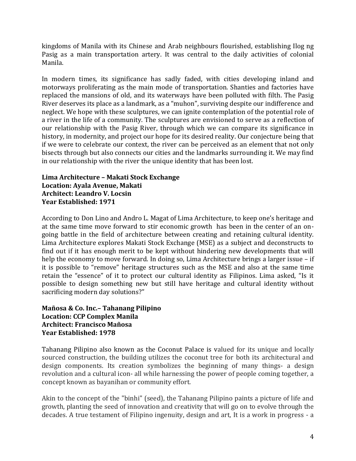kingdoms of Manila with its Chinese and Arab neighbours flourished, establishing Ilog ng Pasig as a main transportation artery. It was central to the daily activities of colonial Manila.

In modern times, its significance has sadly faded, with cities developing inland and motorways proliferating as the main mode of transportation. Shanties and factories have replaced the mansions of old, and its waterways have been polluted with filth. The Pasig River deserves its place as a landmark, as a "muhon", surviving despite our indifference and neglect. We hope with these sculptures, we can ignite contemplation of the potential role of a river in the life of a community. The sculptures are envisioned to serve as a reflection of our relationship with the Pasig River, through which we can compare its significance in history, in modernity, and project our hope for its desired reality. Our conjecture being that if we were to celebrate our context, the river can be perceived as an element that not only bisects through but also connects our cities and the landmarks surrounding it. We may find in our relationship with the river the unique identity that has been lost.

# **Lima Architecture – Makati Stock Exchange Location: Ayala Avenue, Makati Architect: Leandro V. Locsin Year Established: 1971**

According to Don Lino and Andro L. Magat of Lima Architecture, to keep one's heritage and at the same time move forward to stir economic growth has been in the center of an ongoing battle in the field of architecture between creating and retaining cultural identity. Lima Architecture explores Makati Stock Exchange (MSE) as a subject and deconstructs to find out if it has enough merit to be kept without hindering new developments that will help the economy to move forward. In doing so, Lima Architecture brings a larger issue – if it is possible to "remove" heritage structures such as the MSE and also at the same time retain the "essence" of it to protect our cultural identity as Filipinos. Lima asked, "Is it possible to design something new but still have heritage and cultural identity without sacrificing modern day solutions?"

## **Mañosa & Co. Inc.– Tahanang Pilipino Location: CCP Complex Manila Architect: Francisco Mañosa Year Established: 1978**

Tahanang Pilipino also known as the Coconut Palace is valued for its unique and locally sourced construction, the building utilizes the coconut tree for both its architectural and design components. Its creation symbolizes the beginning of many things- a design revolution and a cultural icon- all while harnessing the power of people coming together, a concept known as bayanihan or community effort.

Akin to the concept of the "binhi" (seed), the Tahanang Pilipino paints a picture of life and growth, planting the seed of innovation and creativity that will go on to evolve through the decades. A true testament of Filipino ingenuity, design and art, It is a work in progress - a